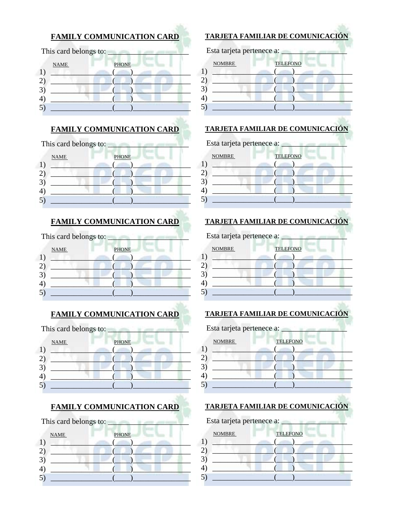|                   |                       | <b>FAMILY COMMUNICATION CARD</b> |
|-------------------|-----------------------|----------------------------------|
|                   | This card belongs to: |                                  |
|                   | <b>NAME</b>           | <b>PHONE</b>                     |
|                   |                       |                                  |
| $\left( 2\right)$ |                       |                                  |
|                   |                       |                                  |
|                   |                       |                                  |

## FAMILY COMMUNICATION CARD

| This card belongs to:       |  |
|-----------------------------|--|
| <b>PHONE</b><br><b>NAME</b> |  |
|                             |  |
|                             |  |
|                             |  |

#### **FAMILY COMMUNICATION CARD**

| This card belongs to: |              |  |
|-----------------------|--------------|--|
| <b>NAME</b>           | <b>PHONE</b> |  |
|                       |              |  |
|                       |              |  |
|                       |              |  |
|                       |              |  |
|                       |              |  |

## FAMILY COMMUNICATION CARD

| This card belongs to: |              |
|-----------------------|--------------|
| <b>NAME</b>           | <b>PHONE</b> |
|                       |              |
|                       |              |
|                       |              |
|                       |              |

#### **FAMILY COMMUNICATION CARD**

| This card belongs to: |              |  |
|-----------------------|--------------|--|
| <b>NAME</b>           | <b>PHONE</b> |  |
|                       |              |  |
|                       |              |  |

#### **TARJETA FAMILIAR DE COMUNICACIÓN**

| Esta tarjeta pertenece a: |                 |  |
|---------------------------|-----------------|--|
| <b>NOMBRE</b>             | <b>TELEFONO</b> |  |
|                           |                 |  |
|                           |                 |  |
|                           |                 |  |
|                           |                 |  |
|                           |                 |  |
|                           |                 |  |

## **TARJETA FAMILIAR DE COMUNICACIÓN**

| <b>NOMBRE</b> | <b>TELEFONO</b> |  |
|---------------|-----------------|--|
| 1             |                 |  |
|               |                 |  |
|               |                 |  |
|               |                 |  |

#### **TARJETA FAMILIAR DE COMUNICACIÓN**

#### Esta tarjeta pertenece a: \_ **NOMBRE TELEFONO** 1)  $2)$  $3)$  $4)$  $5)$

## **TARJETA FAMILIAR DE COMUNICACIÓN**

| Esta tarjeta pertenece a: |                 |
|---------------------------|-----------------|
| <b>NOMBRE</b>             | <b>TELEFONO</b> |
|                           |                 |
| 4                         |                 |

#### **TARJETA FAMILIAR DE COMUNICACIÓN**

| Esta tarjeta pertenece a: __ |                 |  |
|------------------------------|-----------------|--|
| <b>NOMBRE</b>                | <b>TELEFONO</b> |  |
|                              |                 |  |
|                              |                 |  |
|                              |                 |  |
|                              |                 |  |
|                              |                 |  |
|                              |                 |  |